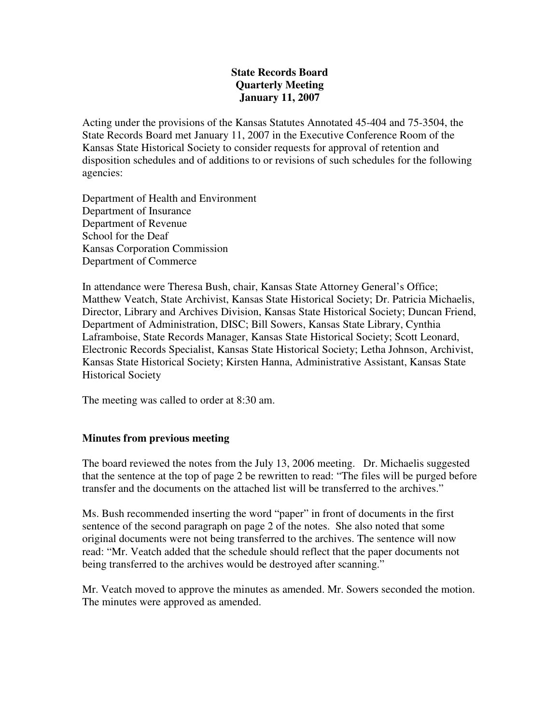## **State Records Board Quarterly Meeting January 11, 2007**

Acting under the provisions of the Kansas Statutes Annotated 45-404 and 75-3504, the State Records Board met January 11, 2007 in the Executive Conference Room of the Kansas State Historical Society to consider requests for approval of retention and disposition schedules and of additions to or revisions of such schedules for the following agencies:

Department of Health and Environment Department of Insurance Department of Revenue School for the Deaf Kansas Corporation Commission Department of Commerce

In attendance were Theresa Bush, chair, Kansas State Attorney General's Office; Matthew Veatch, State Archivist, Kansas State Historical Society; Dr. Patricia Michaelis, Director, Library and Archives Division, Kansas State Historical Society; Duncan Friend, Department of Administration, DISC; Bill Sowers, Kansas State Library, Cynthia Laframboise, State Records Manager, Kansas State Historical Society; Scott Leonard, Electronic Records Specialist, Kansas State Historical Society; Letha Johnson, Archivist, Kansas State Historical Society; Kirsten Hanna, Administrative Assistant, Kansas State Historical Society

The meeting was called to order at 8:30 am.

# **Minutes from previous meeting**

The board reviewed the notes from the July 13, 2006 meeting. Dr. Michaelis suggested that the sentence at the top of page 2 be rewritten to read: "The files will be purged before transfer and the documents on the attached list will be transferred to the archives."

Ms. Bush recommended inserting the word "paper" in front of documents in the first sentence of the second paragraph on page 2 of the notes. She also noted that some original documents were not being transferred to the archives. The sentence will now read: "Mr. Veatch added that the schedule should reflect that the paper documents not being transferred to the archives would be destroyed after scanning."

Mr. Veatch moved to approve the minutes as amended. Mr. Sowers seconded the motion. The minutes were approved as amended.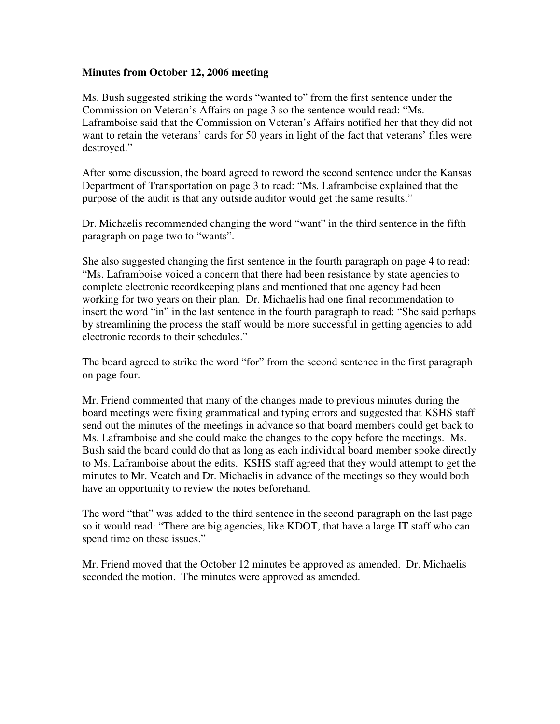### **Minutes from October 12, 2006 meeting**

Ms. Bush suggested striking the words "wanted to" from the first sentence under the Commission on Veteran's Affairs on page 3 so the sentence would read: "Ms. Laframboise said that the Commission on Veteran's Affairs notified her that they did not want to retain the veterans' cards for 50 years in light of the fact that veterans' files were destroyed."

After some discussion, the board agreed to reword the second sentence under the Kansas Department of Transportation on page 3 to read: "Ms. Laframboise explained that the purpose of the audit is that any outside auditor would get the same results."

Dr. Michaelis recommended changing the word "want" in the third sentence in the fifth paragraph on page two to "wants".

She also suggested changing the first sentence in the fourth paragraph on page 4 to read: "Ms. Laframboise voiced a concern that there had been resistance by state agencies to complete electronic recordkeeping plans and mentioned that one agency had been working for two years on their plan. Dr. Michaelis had one final recommendation to insert the word "in" in the last sentence in the fourth paragraph to read: "She said perhaps by streamlining the process the staff would be more successful in getting agencies to add electronic records to their schedules."

The board agreed to strike the word "for" from the second sentence in the first paragraph on page four.

Mr. Friend commented that many of the changes made to previous minutes during the board meetings were fixing grammatical and typing errors and suggested that KSHS staff send out the minutes of the meetings in advance so that board members could get back to Ms. Laframboise and she could make the changes to the copy before the meetings. Ms. Bush said the board could do that as long as each individual board member spoke directly to Ms. Laframboise about the edits. KSHS staff agreed that they would attempt to get the minutes to Mr. Veatch and Dr. Michaelis in advance of the meetings so they would both have an opportunity to review the notes beforehand.

The word "that" was added to the third sentence in the second paragraph on the last page so it would read: "There are big agencies, like KDOT, that have a large IT staff who can spend time on these issues."

Mr. Friend moved that the October 12 minutes be approved as amended. Dr. Michaelis seconded the motion. The minutes were approved as amended.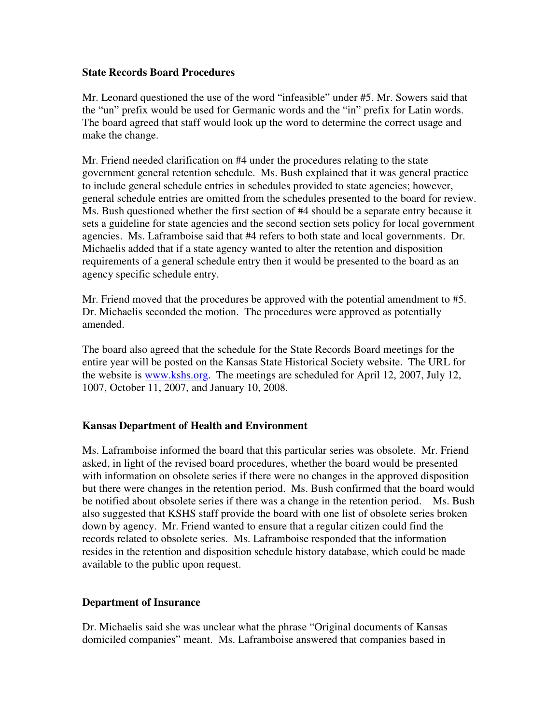### **State Records Board Procedures**

Mr. Leonard questioned the use of the word "infeasible" under #5. Mr. Sowers said that the "un" prefix would be used for Germanic words and the "in" prefix for Latin words. The board agreed that staff would look up the word to determine the correct usage and make the change.

Mr. Friend needed clarification on #4 under the procedures relating to the state government general retention schedule. Ms. Bush explained that it was general practice to include general schedule entries in schedules provided to state agencies; however, general schedule entries are omitted from the schedules presented to the board for review. Ms. Bush questioned whether the first section of #4 should be a separate entry because it sets a guideline for state agencies and the second section sets policy for local government agencies. Ms. Laframboise said that #4 refers to both state and local governments. Dr. Michaelis added that if a state agency wanted to alter the retention and disposition requirements of a general schedule entry then it would be presented to the board as an agency specific schedule entry.

Mr. Friend moved that the procedures be approved with the potential amendment to #5. Dr. Michaelis seconded the motion. The procedures were approved as potentially amended.

The board also agreed that the schedule for the State Records Board meetings for the entire year will be posted on the Kansas State Historical Society website. The URL for the website is www.kshs.org. The meetings are scheduled for April 12, 2007, July 12, 1007, October 11, 2007, and January 10, 2008.

### **Kansas Department of Health and Environment**

Ms. Laframboise informed the board that this particular series was obsolete. Mr. Friend asked, in light of the revised board procedures, whether the board would be presented with information on obsolete series if there were no changes in the approved disposition but there were changes in the retention period. Ms. Bush confirmed that the board would be notified about obsolete series if there was a change in the retention period. Ms. Bush also suggested that KSHS staff provide the board with one list of obsolete series broken down by agency. Mr. Friend wanted to ensure that a regular citizen could find the records related to obsolete series. Ms. Laframboise responded that the information resides in the retention and disposition schedule history database, which could be made available to the public upon request.

### **Department of Insurance**

Dr. Michaelis said she was unclear what the phrase "Original documents of Kansas domiciled companies" meant. Ms. Laframboise answered that companies based in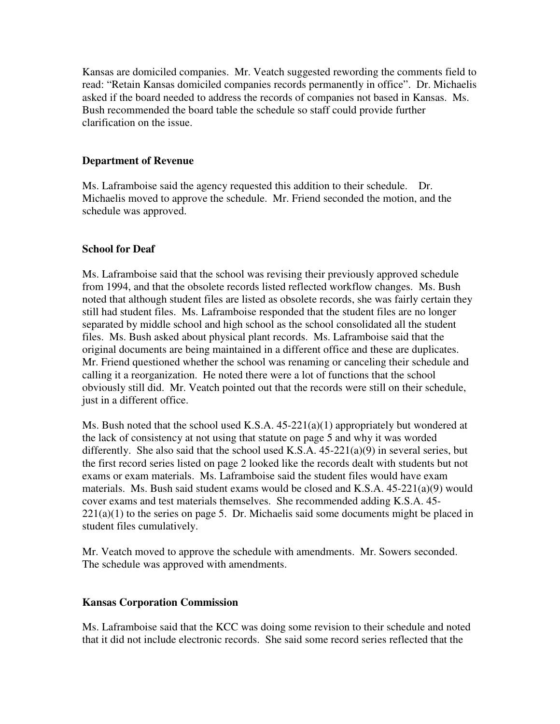Kansas are domiciled companies. Mr. Veatch suggested rewording the comments field to read: "Retain Kansas domiciled companies records permanently in office". Dr. Michaelis asked if the board needed to address the records of companies not based in Kansas. Ms. Bush recommended the board table the schedule so staff could provide further clarification on the issue.

### **Department of Revenue**

Ms. Laframboise said the agency requested this addition to their schedule. Dr. Michaelis moved to approve the schedule. Mr. Friend seconded the motion, and the schedule was approved.

### **School for Deaf**

Ms. Laframboise said that the school was revising their previously approved schedule from 1994, and that the obsolete records listed reflected workflow changes. Ms. Bush noted that although student files are listed as obsolete records, she was fairly certain they still had student files. Ms. Laframboise responded that the student files are no longer separated by middle school and high school as the school consolidated all the student files. Ms. Bush asked about physical plant records. Ms. Laframboise said that the original documents are being maintained in a different office and these are duplicates. Mr. Friend questioned whether the school was renaming or canceling their schedule and calling it a reorganization. He noted there were a lot of functions that the school obviously still did. Mr. Veatch pointed out that the records were still on their schedule, just in a different office.

Ms. Bush noted that the school used K.S.A. 45-221(a)(1) appropriately but wondered at the lack of consistency at not using that statute on page 5 and why it was worded differently. She also said that the school used K.S.A.  $45-221(a)(9)$  in several series, but the first record series listed on page 2 looked like the records dealt with students but not exams or exam materials. Ms. Laframboise said the student files would have exam materials. Ms. Bush said student exams would be closed and K.S.A.  $45-221(a)(9)$  would cover exams and test materials themselves. She recommended adding K.S.A. 45-  $221(a)(1)$  to the series on page 5. Dr. Michaelis said some documents might be placed in student files cumulatively.

Mr. Veatch moved to approve the schedule with amendments. Mr. Sowers seconded. The schedule was approved with amendments.

### **Kansas Corporation Commission**

Ms. Laframboise said that the KCC was doing some revision to their schedule and noted that it did not include electronic records. She said some record series reflected that the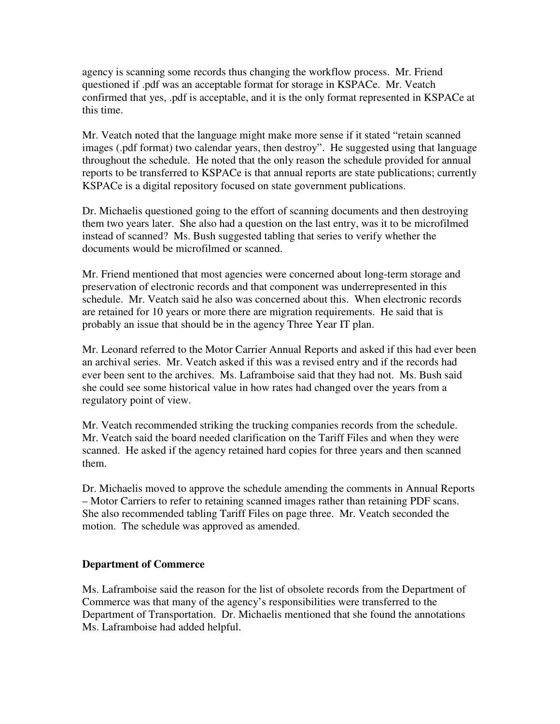agency is scanning some records thus changing the workflow process. Mr. Friend questioned if .pdf was an acceptable format for storage in KSPACe. Mr. Veatch confirmed that yes, .pdf is acceptable, and it is the only format represented in KSPACe at this time.

Mr. Veatch noted that the language might make more sense if it stated "retain scanned images (.pdf format) two calendar years, then destroy". He suggested using that language throughout the schedule. He noted that the only reason the schedule provided for annual reports to be transferred to KSPACe is that annual reports are state publications; currently KSPACe is a digital repository focused on state government publications.

Dr. Michaelis questioned going to the effort of scanning documents and then destroying them two years later. She also had a question on the last entry, was it to be microfilmed instead of scanned? Ms. Bush suggested tabling that series to verify whether the documents would be microfilmed or scanned.

Mr. Friend mentioned that most agencies were concerned about long-term storage and preservation of electronic records and that component was underrepresented in this schedule. Mr. Veatch said he also was concerned about this. When electronic records are retained for 10 years or more there are migration requirements. He said that is probably an issue that should be in the agency Three Year IT plan.

Mr. Leonard referred to the Motor Carrier Annual Reports and asked if this had ever been an archival series. Mr. Veatch asked if this was a revised entry and if the records had ever been sent to the archives. Ms. Laframboise said that they had not. Ms. Bush said she could see some historical value in how rates had changed over the years from a regulatory point of view.

Mr. Veatch recommended striking the trucking companies records from the schedule. Mr. Veatch said the board needed clarification on the Tariff Files and when they were scanned. He asked if the agency retained hard copies for three years and then scanned them.

Dr. Michaelis moved to approve the schedule amending the comments in Annual Reports – Motor Carriers to refer to retaining scanned images rather than retaining PDF scans. She also recommended tabling Tariff Files on page three. Mr. Veatch seconded the motion. The schedule was approved as amended.

# **Department of Commerce**

Ms. Laframboise said the reason for the list of obsolete records from the Department of Commerce was that many of the agency's responsibilities were transferred to the Department of Transportation. Dr. Michaelis mentioned that she found the annotations Ms. Laframboise had added helpful.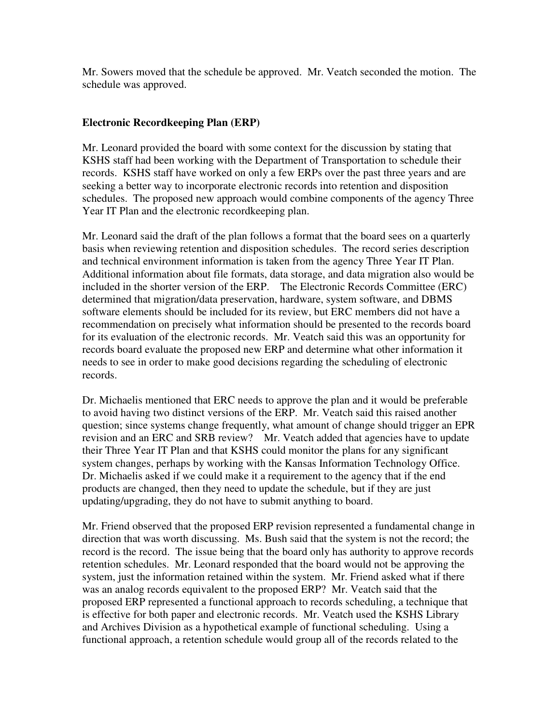Mr. Sowers moved that the schedule be approved. Mr. Veatch seconded the motion. The schedule was approved.

## **Electronic Recordkeeping Plan (ERP)**

Mr. Leonard provided the board with some context for the discussion by stating that KSHS staff had been working with the Department of Transportation to schedule their records. KSHS staff have worked on only a few ERPs over the past three years and are seeking a better way to incorporate electronic records into retention and disposition schedules. The proposed new approach would combine components of the agency Three Year IT Plan and the electronic recordkeeping plan.

Mr. Leonard said the draft of the plan follows a format that the board sees on a quarterly basis when reviewing retention and disposition schedules. The record series description and technical environment information is taken from the agency Three Year IT Plan. Additional information about file formats, data storage, and data migration also would be included in the shorter version of the ERP. The Electronic Records Committee (ERC) determined that migration/data preservation, hardware, system software, and DBMS software elements should be included for its review, but ERC members did not have a recommendation on precisely what information should be presented to the records board for its evaluation of the electronic records. Mr. Veatch said this was an opportunity for records board evaluate the proposed new ERP and determine what other information it needs to see in order to make good decisions regarding the scheduling of electronic records.

Dr. Michaelis mentioned that ERC needs to approve the plan and it would be preferable to avoid having two distinct versions of the ERP. Mr. Veatch said this raised another question; since systems change frequently, what amount of change should trigger an EPR revision and an ERC and SRB review? Mr. Veatch added that agencies have to update their Three Year IT Plan and that KSHS could monitor the plans for any significant system changes, perhaps by working with the Kansas Information Technology Office. Dr. Michaelis asked if we could make it a requirement to the agency that if the end products are changed, then they need to update the schedule, but if they are just updating/upgrading, they do not have to submit anything to board.

Mr. Friend observed that the proposed ERP revision represented a fundamental change in direction that was worth discussing. Ms. Bush said that the system is not the record; the record is the record. The issue being that the board only has authority to approve records retention schedules. Mr. Leonard responded that the board would not be approving the system, just the information retained within the system. Mr. Friend asked what if there was an analog records equivalent to the proposed ERP? Mr. Veatch said that the proposed ERP represented a functional approach to records scheduling, a technique that is effective for both paper and electronic records. Mr. Veatch used the KSHS Library and Archives Division as a hypothetical example of functional scheduling. Using a functional approach, a retention schedule would group all of the records related to the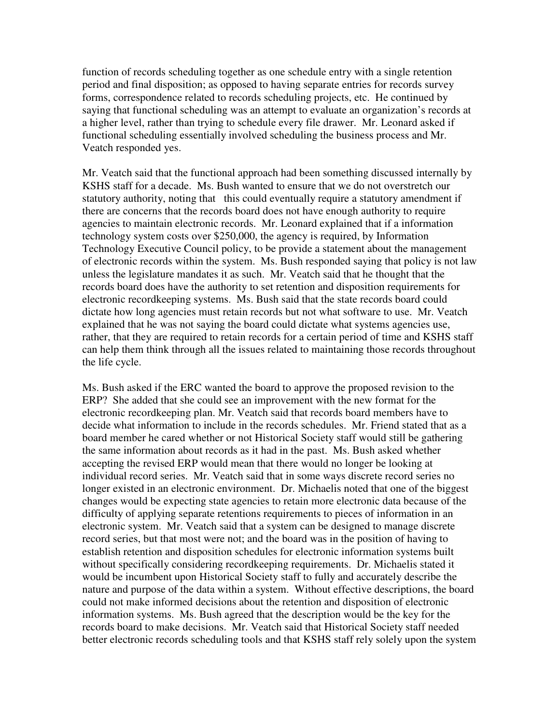function of records scheduling together as one schedule entry with a single retention period and final disposition; as opposed to having separate entries for records survey forms, correspondence related to records scheduling projects, etc. He continued by saying that functional scheduling was an attempt to evaluate an organization's records at a higher level, rather than trying to schedule every file drawer. Mr. Leonard asked if functional scheduling essentially involved scheduling the business process and Mr. Veatch responded yes.

Mr. Veatch said that the functional approach had been something discussed internally by KSHS staff for a decade. Ms. Bush wanted to ensure that we do not overstretch our statutory authority, noting that this could eventually require a statutory amendment if there are concerns that the records board does not have enough authority to require agencies to maintain electronic records. Mr. Leonard explained that if a information technology system costs over \$250,000, the agency is required, by Information Technology Executive Council policy, to be provide a statement about the management of electronic records within the system. Ms. Bush responded saying that policy is not law unless the legislature mandates it as such. Mr. Veatch said that he thought that the records board does have the authority to set retention and disposition requirements for electronic recordkeeping systems. Ms. Bush said that the state records board could dictate how long agencies must retain records but not what software to use. Mr. Veatch explained that he was not saying the board could dictate what systems agencies use, rather, that they are required to retain records for a certain period of time and KSHS staff can help them think through all the issues related to maintaining those records throughout the life cycle.

Ms. Bush asked if the ERC wanted the board to approve the proposed revision to the ERP? She added that she could see an improvement with the new format for the electronic recordkeeping plan. Mr. Veatch said that records board members have to decide what information to include in the records schedules. Mr. Friend stated that as a board member he cared whether or not Historical Society staff would still be gathering the same information about records as it had in the past. Ms. Bush asked whether accepting the revised ERP would mean that there would no longer be looking at individual record series. Mr. Veatch said that in some ways discrete record series no longer existed in an electronic environment. Dr. Michaelis noted that one of the biggest changes would be expecting state agencies to retain more electronic data because of the difficulty of applying separate retentions requirements to pieces of information in an electronic system. Mr. Veatch said that a system can be designed to manage discrete record series, but that most were not; and the board was in the position of having to establish retention and disposition schedules for electronic information systems built without specifically considering recordkeeping requirements. Dr. Michaelis stated it would be incumbent upon Historical Society staff to fully and accurately describe the nature and purpose of the data within a system. Without effective descriptions, the board could not make informed decisions about the retention and disposition of electronic information systems. Ms. Bush agreed that the description would be the key for the records board to make decisions. Mr. Veatch said that Historical Society staff needed better electronic records scheduling tools and that KSHS staff rely solely upon the system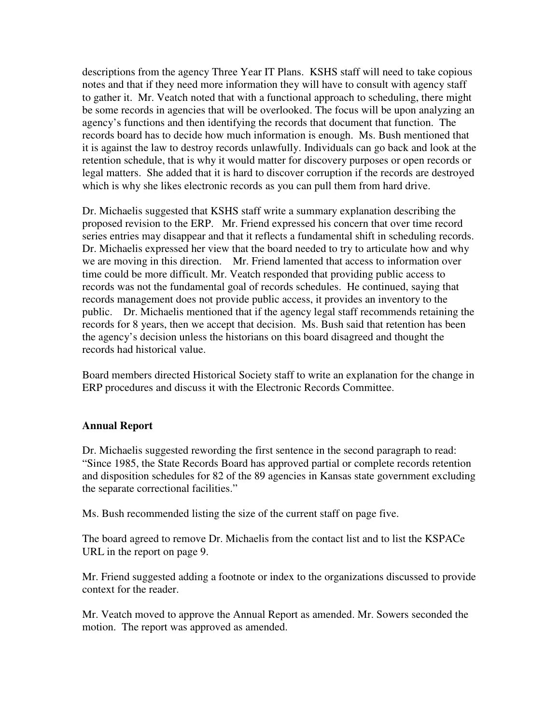descriptions from the agency Three Year IT Plans. KSHS staff will need to take copious notes and that if they need more information they will have to consult with agency staff to gather it. Mr. Veatch noted that with a functional approach to scheduling, there might be some records in agencies that will be overlooked. The focus will be upon analyzing an agency's functions and then identifying the records that document that function. The records board has to decide how much information is enough. Ms. Bush mentioned that it is against the law to destroy records unlawfully. Individuals can go back and look at the retention schedule, that is why it would matter for discovery purposes or open records or legal matters. She added that it is hard to discover corruption if the records are destroyed which is why she likes electronic records as you can pull them from hard drive.

Dr. Michaelis suggested that KSHS staff write a summary explanation describing the proposed revision to the ERP. Mr. Friend expressed his concern that over time record series entries may disappear and that it reflects a fundamental shift in scheduling records. Dr. Michaelis expressed her view that the board needed to try to articulate how and why we are moving in this direction. Mr. Friend lamented that access to information over time could be more difficult. Mr. Veatch responded that providing public access to records was not the fundamental goal of records schedules. He continued, saying that records management does not provide public access, it provides an inventory to the public. Dr. Michaelis mentioned that if the agency legal staff recommends retaining the records for 8 years, then we accept that decision. Ms. Bush said that retention has been the agency's decision unless the historians on this board disagreed and thought the records had historical value.

Board members directed Historical Society staff to write an explanation for the change in ERP procedures and discuss it with the Electronic Records Committee.

### **Annual Report**

Dr. Michaelis suggested rewording the first sentence in the second paragraph to read: "Since 1985, the State Records Board has approved partial or complete records retention and disposition schedules for 82 of the 89 agencies in Kansas state government excluding the separate correctional facilities."

Ms. Bush recommended listing the size of the current staff on page five.

The board agreed to remove Dr. Michaelis from the contact list and to list the KSPACe URL in the report on page 9.

Mr. Friend suggested adding a footnote or index to the organizations discussed to provide context for the reader.

Mr. Veatch moved to approve the Annual Report as amended. Mr. Sowers seconded the motion. The report was approved as amended.